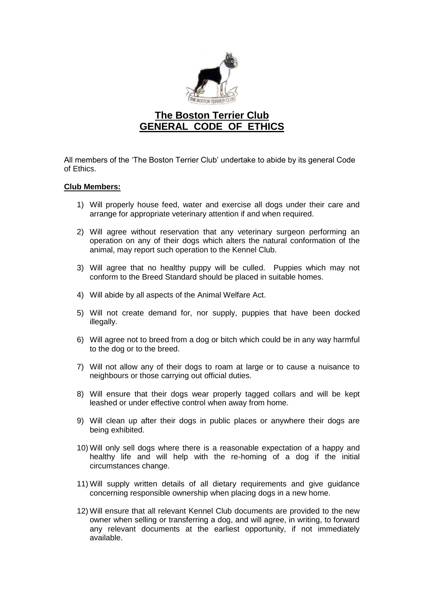

## **The Boston Terrier Club GENERAL CODE OF ETHICS**

All members of the 'The Boston Terrier Club' undertake to abide by its general Code of Ethics.

## **Club Members:**

- 1) Will properly house feed, water and exercise all dogs under their care and arrange for appropriate veterinary attention if and when required.
- 2) Will agree without reservation that any veterinary surgeon performing an operation on any of their dogs which alters the natural conformation of the animal, may report such operation to the Kennel Club.
- 3) Will agree that no healthy puppy will be culled. Puppies which may not conform to the Breed Standard should be placed in suitable homes.
- 4) Will abide by all aspects of the Animal Welfare Act.
- 5) Will not create demand for, nor supply, puppies that have been docked illegally.
- 6) Will agree not to breed from a dog or bitch which could be in any way harmful to the dog or to the breed.
- 7) Will not allow any of their dogs to roam at large or to cause a nuisance to neighbours or those carrying out official duties.
- 8) Will ensure that their dogs wear properly tagged collars and will be kept leashed or under effective control when away from home.
- 9) Will clean up after their dogs in public places or anywhere their dogs are being exhibited.
- 10) Will only sell dogs where there is a reasonable expectation of a happy and healthy life and will help with the re-homing of a dog if the initial circumstances change.
- 11) Will supply written details of all dietary requirements and give guidance concerning responsible ownership when placing dogs in a new home.
- 12) Will ensure that all relevant Kennel Club documents are provided to the new owner when selling or transferring a dog, and will agree, in writing, to forward any relevant documents at the earliest opportunity, if not immediately available.